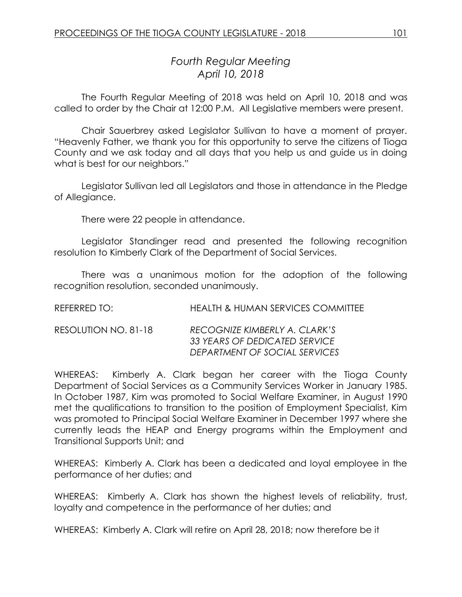# *Fourth Regular Meeting April 10, 2018*

The Fourth Regular Meeting of 2018 was held on April 10, 2018 and was called to order by the Chair at 12:00 P.M. All Legislative members were present.

Chair Sauerbrey asked Legislator Sullivan to have a moment of prayer. "Heavenly Father, we thank you for this opportunity to serve the citizens of Tioga County and we ask today and all days that you help us and guide us in doing what is best for our neighbors."

Legislator Sullivan led all Legislators and those in attendance in the Pledge of Allegiance.

There were 22 people in attendance.

Legislator Standinger read and presented the following recognition resolution to Kimberly Clark of the Department of Social Services.

There was a unanimous motion for the adoption of the following recognition resolution, seconded unanimously.

| REFERRED TO:         | <b>HEALTH &amp; HUMAN SERVICES COMMITTEE</b>                                                    |
|----------------------|-------------------------------------------------------------------------------------------------|
| RESOLUTION NO. 81-18 | RECOGNIZE KIMBERLY A. CLARK'S<br>33 YEARS OF DEDICATED SERVICE<br>DEPARTMENT OF SOCIAL SERVICES |

WHEREAS: Kimberly A. Clark began her career with the Tioga County Department of Social Services as a Community Services Worker in January 1985. In October 1987, Kim was promoted to Social Welfare Examiner, in August 1990 met the qualifications to transition to the position of Employment Specialist, Kim was promoted to Principal Social Welfare Examiner in December 1997 where she currently leads the HEAP and Energy programs within the Employment and Transitional Supports Unit; and

WHEREAS: Kimberly A. Clark has been a dedicated and loyal employee in the performance of her duties; and

WHEREAS: Kimberly A. Clark has shown the highest levels of reliability, trust, loyalty and competence in the performance of her duties; and

WHEREAS: Kimberly A. Clark will retire on April 28, 2018; now therefore be it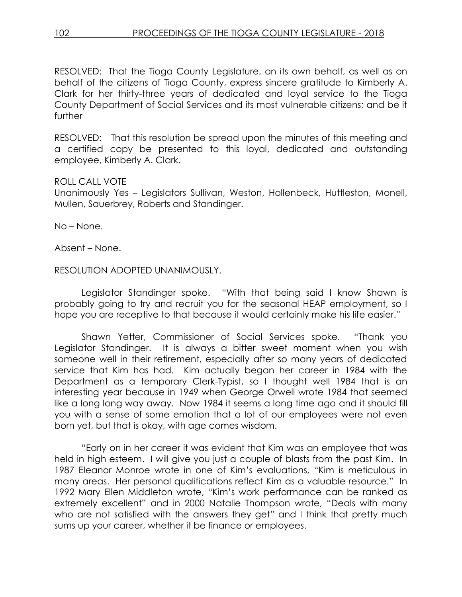RESOLVED:That the Tioga County Legislature, on its own behalf, as well as on behalf of the citizens of Tioga County, express sincere gratitude to Kimberly A. Clark for her thirty-three years of dedicated and loyal service to the Tioga County Department of Social Services and its most vulnerable citizens; and be it further

RESOLVED: That this resolution be spread upon the minutes of this meeting and a certified copy be presented to this loyal, dedicated and outstanding employee, Kimberly A. Clark.

### ROLL CALL VOTE

Unanimously Yes – Legislators Sullivan, Weston, Hollenbeck, Huttleston, Monell, Mullen, Sauerbrey, Roberts and Standinger.

No – None.

Absent – None.

### RESOLUTION ADOPTED UNANIMOUSLY.

Legislator Standinger spoke. "With that being said I know Shawn is probably going to try and recruit you for the seasonal HEAP employment, so I hope you are receptive to that because it would certainly make his life easier."

Shawn Yetter, Commissioner of Social Services spoke. "Thank you Legislator Standinger. It is always a bitter sweet moment when you wish someone well in their retirement, especially after so many years of dedicated service that Kim has had. Kim actually began her career in 1984 with the Department as a temporary Clerk-Typist, so I thought well 1984 that is an interesting year because in 1949 when George Orwell wrote 1984 that seemed like a long long way away. Now 1984 it seems a long time ago and it should fill you with a sense of some emotion that a lot of our employees were not even born yet, but that is okay, with age comes wisdom.

"Early on in her career it was evident that Kim was an employee that was held in high esteem. I will give you just a couple of blasts from the past Kim. In 1987 Eleanor Monroe wrote in one of Kim's evaluations, "Kim is meticulous in many areas. Her personal qualifications reflect Kim as a valuable resource." In 1992 Mary Ellen Middleton wrote, "Kim's work performance can be ranked as extremely excellent" and in 2000 Natalie Thompson wrote, "Deals with many who are not satisfied with the answers they get" and I think that pretty much sums up your career, whether it be finance or employees.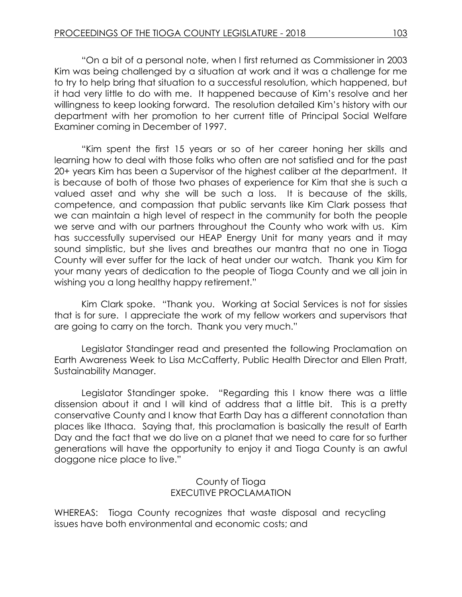"On a bit of a personal note, when I first returned as Commissioner in 2003 Kim was being challenged by a situation at work and it was a challenge for me to try to help bring that situation to a successful resolution, which happened, but it had very little to do with me. It happened because of Kim's resolve and her willingness to keep looking forward. The resolution detailed Kim's history with our department with her promotion to her current title of Principal Social Welfare Examiner coming in December of 1997.

"Kim spent the first 15 years or so of her career honing her skills and learning how to deal with those folks who often are not satisfied and for the past 20+ years Kim has been a Supervisor of the highest caliber at the department. It is because of both of those two phases of experience for Kim that she is such a valued asset and why she will be such a loss. It is because of the skills, competence, and compassion that public servants like Kim Clark possess that we can maintain a high level of respect in the community for both the people we serve and with our partners throughout the County who work with us. Kim has successfully supervised our HEAP Energy Unit for many years and it may sound simplistic, but she lives and breathes our mantra that no one in Tioga County will ever suffer for the lack of heat under our watch. Thank you Kim for your many years of dedication to the people of Tioga County and we all join in wishing you a long healthy happy retirement."

Kim Clark spoke. "Thank you. Working at Social Services is not for sissies that is for sure. I appreciate the work of my fellow workers and supervisors that are going to carry on the torch. Thank you very much."

Legislator Standinger read and presented the following Proclamation on Earth Awareness Week to Lisa McCafferty, Public Health Director and Ellen Pratt, Sustainability Manager.

Legislator Standinger spoke. "Regarding this I know there was a little dissension about it and I will kind of address that a little bit. This is a pretty conservative County and I know that Earth Day has a different connotation than places like Ithaca. Saying that, this proclamation is basically the result of Earth Day and the fact that we do live on a planet that we need to care for so further generations will have the opportunity to enjoy it and Tioga County is an awful doggone nice place to live."

# County of Tioga EXECUTIVE PROCLAMATION

WHEREAS: Tioga County recognizes that waste disposal and recycling issues have both environmental and economic costs; and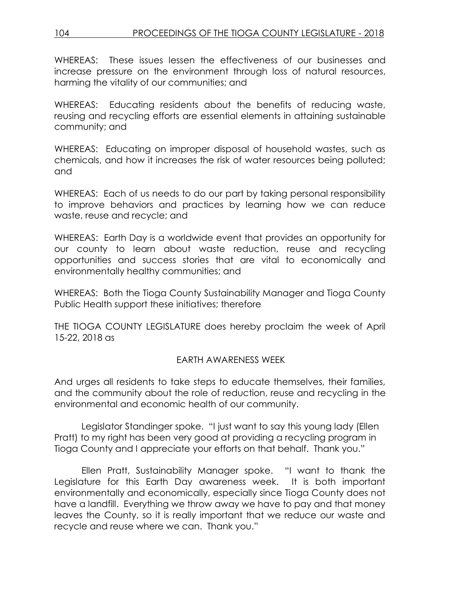# 104 PROCEEDINGS OF THE TIOGA COUNTY LEGISLATURE - 2018

WHEREAS: These issues lessen the effectiveness of our businesses and increase pressure on the environment through loss of natural resources, harming the vitality of our communities; and

WHEREAS: Educating residents about the benefits of reducing waste, reusing and recycling efforts are essential elements in attaining sustainable community; and

WHEREAS: Educating on improper disposal of household wastes, such as chemicals, and how it increases the risk of water resources being polluted; and

WHEREAS: Each of us needs to do our part by taking personal responsibility to improve behaviors and practices by learning how we can reduce waste, reuse and recycle; and

WHEREAS: Earth Day is a worldwide event that provides an opportunity for our county to learn about waste reduction, reuse and recycling opportunities and success stories that are vital to economically and environmentally healthy communities; and

WHEREAS: Both the Tioga County Sustainability Manager and Tioga County Public Health support these initiatives; therefore

THE TIOGA COUNTY LEGISLATURE does hereby proclaim the week of April 15-22, 2018 as

### EARTH AWARENESS WEEK

And urges all residents to take steps to educate themselves, their families, and the community about the role of reduction, reuse and recycling in the environmental and economic health of our community.

Legislator Standinger spoke. "I just want to say this young lady (Ellen Pratt) to my right has been very good at providing a recycling program in Tioga County and I appreciate your efforts on that behalf. Thank you."

Ellen Pratt, Sustainability Manager spoke. "I want to thank the Legislature for this Earth Day awareness week. It is both important environmentally and economically, especially since Tioga County does not have a landfill. Everything we throw away we have to pay and that money leaves the County, so it is really important that we reduce our waste and recycle and reuse where we can. Thank you."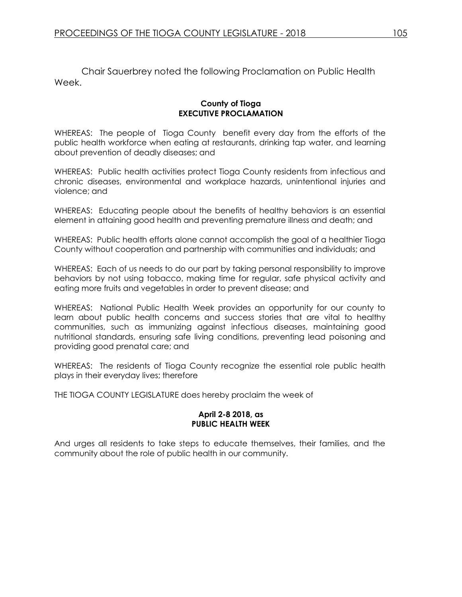Chair Sauerbrey noted the following Proclamation on Public Health Week.

#### **County of Tioga EXECUTIVE PROCLAMATION**

WHEREAS: The people of Tioga County benefit every day from the efforts of the public health workforce when eating at restaurants, drinking tap water, and learning about prevention of deadly diseases; and

WHEREAS: Public health activities protect Tioga County residents from infectious and chronic diseases, environmental and workplace hazards, unintentional injuries and violence; and

WHEREAS: Educating people about the benefits of healthy behaviors is an essential element in attaining good health and preventing premature illness and death; and

WHEREAS: Public health efforts alone cannot accomplish the goal of a healthier Tioga County without cooperation and partnership with communities and individuals; and

WHEREAS: Each of us needs to do our part by taking personal responsibility to improve behaviors by not using tobacco, making time for regular, safe physical activity and eating more fruits and vegetables in order to prevent disease; and

WHEREAS: National Public Health Week provides an opportunity for our county to learn about public health concerns and success stories that are vital to healthy communities, such as immunizing against infectious diseases, maintaining good nutritional standards, ensuring safe living conditions, preventing lead poisoning and providing good prenatal care; and

WHEREAS: The residents of Tioga County recognize the essential role public health plays in their everyday lives; therefore

THE TIOGA COUNTY LEGISLATURE does hereby proclaim the week of

#### **April 2-8 2018, as PUBLIC HEALTH WEEK**

And urges all residents to take steps to educate themselves, their families, and the community about the role of public health in our community.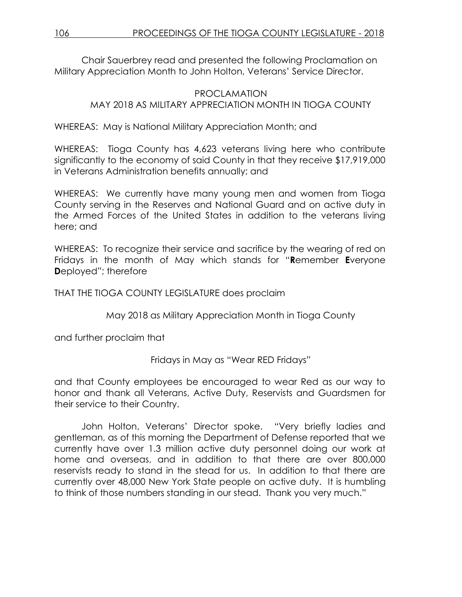Chair Sauerbrey read and presented the following Proclamation on Military Appreciation Month to John Holton, Veterans' Service Director.

# PROCLAMATION MAY 2018 AS MILITARY APPRECIATION MONTH IN TIOGA COUNTY

WHEREAS: May is National Military Appreciation Month; and

WHEREAS: Tioga County has 4,623 veterans living here who contribute significantly to the economy of said County in that they receive \$17,919,000 in Veterans Administration benefits annually; and

WHEREAS: We currently have many young men and women from Tioga County serving in the Reserves and National Guard and on active duty in the Armed Forces of the United States in addition to the veterans living here; and

WHEREAS: To recognize their service and sacrifice by the wearing of red on Fridays in the month of May which stands for "**R**emember **E**veryone **D**eployed"; therefore

THAT THE TIOGA COUNTY LEGISLATURE does proclaim

May 2018 as Military Appreciation Month in Tioga County

and further proclaim that

Fridays in May as "Wear RED Fridays"

and that County employees be encouraged to wear Red as our way to honor and thank all Veterans, Active Duty, Reservists and Guardsmen for their service to their Country.

John Holton, Veterans' Director spoke. "Very briefly ladies and gentleman, as of this morning the Department of Defense reported that we currently have over 1.3 million active duty personnel doing our work at home and overseas, and in addition to that there are over 800,000 reservists ready to stand in the stead for us. In addition to that there are currently over 48,000 New York State people on active duty. It is humbling to think of those numbers standing in our stead. Thank you very much."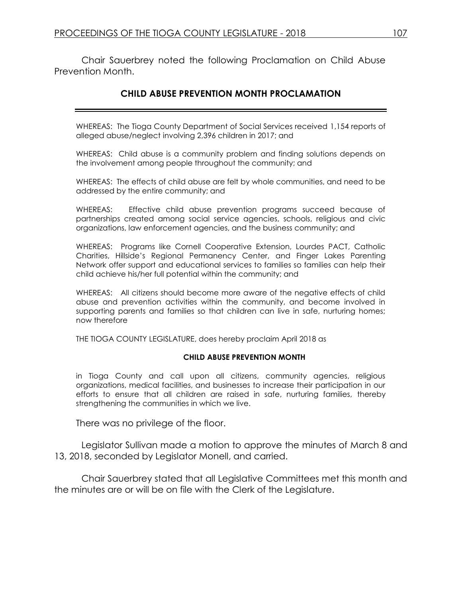Chair Sauerbrey noted the following Proclamation on Child Abuse Prevention Month.

# **CHILD ABUSE PREVENTION MONTH PROCLAMATION**

WHEREAS: The Tioga County Department of Social Services received 1,154 reports of alleged abuse/neglect involving 2,396 children in 2017; and

WHEREAS: Child abuse is a community problem and finding solutions depends on the involvement among people throughout the community; and

WHEREAS: The effects of child abuse are felt by whole communities, and need to be addressed by the entire community; and

WHEREAS: Effective child abuse prevention programs succeed because of partnerships created among social service agencies, schools, religious and civic organizations, law enforcement agencies, and the business community; and

WHEREAS: Programs like Cornell Cooperative Extension, Lourdes PACT, Catholic Charities, Hillside's Regional Permanency Center, and Finger Lakes Parenting Network offer support and educational services to families so families can help their child achieve his/her full potential within the community; and

WHEREAS: All citizens should become more aware of the negative effects of child abuse and prevention activities within the community, and become involved in supporting parents and families so that children can live in safe, nurturing homes; now therefore

THE TIOGA COUNTY LEGISLATURE, does hereby proclaim April 2018 as

#### **CHILD ABUSE PREVENTION MONTH**

in Tioga County and call upon all citizens, community agencies, religious organizations, medical facilities, and businesses to increase their participation in our efforts to ensure that all children are raised in safe, nurturing families, thereby strengthening the communities in which we live.

There was no privilege of the floor.

Legislator Sullivan made a motion to approve the minutes of March 8 and 13, 2018, seconded by Legislator Monell, and carried.

Chair Sauerbrey stated that all Legislative Committees met this month and the minutes are or will be on file with the Clerk of the Legislature.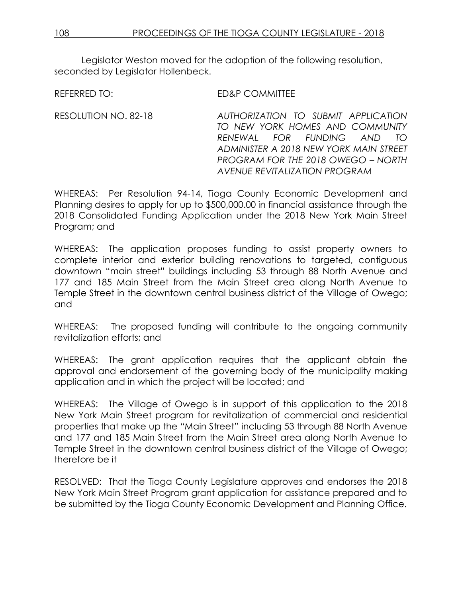Legislator Weston moved for the adoption of the following resolution, seconded by Legislator Hollenbeck.

REFERRED TO: ED&P COMMITTEE

RESOLUTION NO. 82-18 *AUTHORIZATION TO SUBMIT APPLICATION TO NEW YORK HOMES AND COMMUNITY RENEWAL FOR FUNDING AND TO ADMINISTER A 2018 NEW YORK MAIN STREET PROGRAM FOR THE 2018 OWEGO – NORTH AVENUE REVITALIZATION PROGRAM*

WHEREAS: Per Resolution 94-14, Tioga County Economic Development and Planning desires to apply for up to \$500,000.00 in financial assistance through the 2018 Consolidated Funding Application under the 2018 New York Main Street Program; and

WHEREAS: The application proposes funding to assist property owners to complete interior and exterior building renovations to targeted, contiguous downtown "main street" buildings including 53 through 88 North Avenue and 177 and 185 Main Street from the Main Street area along North Avenue to Temple Street in the downtown central business district of the Village of Owego; and

WHEREAS: The proposed funding will contribute to the ongoing community revitalization efforts; and

WHEREAS: The grant application requires that the applicant obtain the approval and endorsement of the governing body of the municipality making application and in which the project will be located; and

WHEREAS: The Village of Owego is in support of this application to the 2018 New York Main Street program for revitalization of commercial and residential properties that make up the "Main Street" including 53 through 88 North Avenue and 177 and 185 Main Street from the Main Street area along North Avenue to Temple Street in the downtown central business district of the Village of Owego; therefore be it

RESOLVED: That the Tioga County Legislature approves and endorses the 2018 New York Main Street Program grant application for assistance prepared and to be submitted by the Tioga County Economic Development and Planning Office.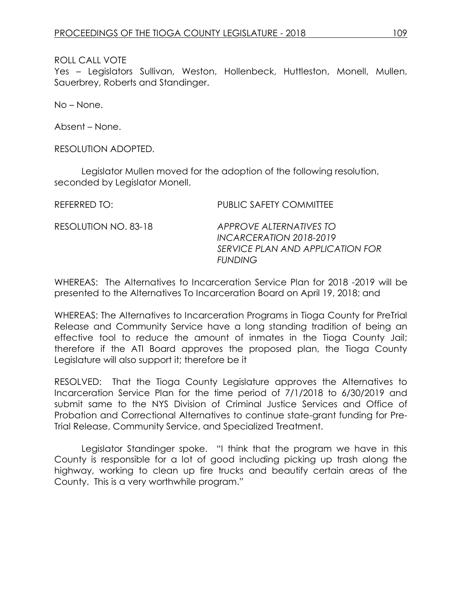Yes – Legislators Sullivan, Weston, Hollenbeck, Huttleston, Monell, Mullen, Sauerbrey, Roberts and Standinger.

No – None.

Absent – None.

RESOLUTION ADOPTED.

Legislator Mullen moved for the adoption of the following resolution, seconded by Legislator Monell.

REFERRED TO: PUBLIC SAFETY COMMITTEE RESOLUTION NO. 83-18 *APPROVE ALTERNATIVES TO INCARCERATION 2018-2019 SERVICE PLAN AND APPLICATION FOR FUNDING* 

WHEREAS: The Alternatives to Incarceration Service Plan for 2018 -2019 will be presented to the Alternatives To Incarceration Board on April 19, 2018; and

WHEREAS: The Alternatives to Incarceration Programs in Tioga County for PreTrial Release and Community Service have a long standing tradition of being an effective tool to reduce the amount of inmates in the Tioga County Jail; therefore if the ATI Board approves the proposed plan, the Tioga County Legislature will also support it; therefore be it

RESOLVED: That the Tioga County Legislature approves the Alternatives to Incarceration Service Plan for the time period of 7/1/2018 to 6/30/2019 and submit same to the NYS Division of Criminal Justice Services and Office of Probation and Correctional Alternatives to continue state-grant funding for Pre-Trial Release, Community Service, and Specialized Treatment.

Legislator Standinger spoke. "I think that the program we have in this County is responsible for a lot of good including picking up trash along the highway, working to clean up fire trucks and beautify certain areas of the County. This is a very worthwhile program."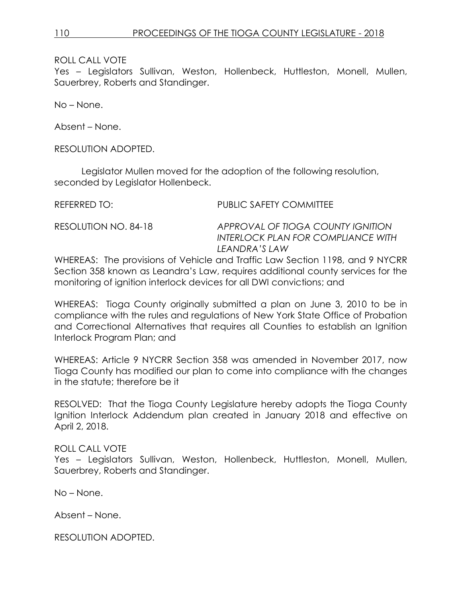Yes – Legislators Sullivan, Weston, Hollenbeck, Huttleston, Monell, Mullen, Sauerbrey, Roberts and Standinger.

No – None.

Absent – None.

RESOLUTION ADOPTED.

Legislator Mullen moved for the adoption of the following resolution, seconded by Legislator Hollenbeck.

REFERRED TO: PUBLIC SAFETY COMMITTEE

RESOLUTION NO. 84-18 *APPROVAL OF TIOGA COUNTY IGNITION INTERLOCK PLAN FOR COMPLIANCE WITH LEANDRA'S LAW*

WHEREAS: The provisions of Vehicle and Traffic Law Section 1198, and 9 NYCRR Section 358 known as Leandra's Law, requires additional county services for the monitoring of ignition interlock devices for all DWI convictions; and

WHEREAS: Tioga County originally submitted a plan on June 3, 2010 to be in compliance with the rules and regulations of New York State Office of Probation and Correctional Alternatives that requires all Counties to establish an Ignition Interlock Program Plan; and

WHEREAS: Article 9 NYCRR Section 358 was amended in November 2017, now Tioga County has modified our plan to come into compliance with the changes in the statute; therefore be it

RESOLVED: That the Tioga County Legislature hereby adopts the Tioga County Ignition Interlock Addendum plan created in January 2018 and effective on April 2, 2018.

### ROLL CALL VOTE

Yes – Legislators Sullivan, Weston, Hollenbeck, Huttleston, Monell, Mullen, Sauerbrey, Roberts and Standinger.

No – None.

Absent – None.

RESOLUTION ADOPTED.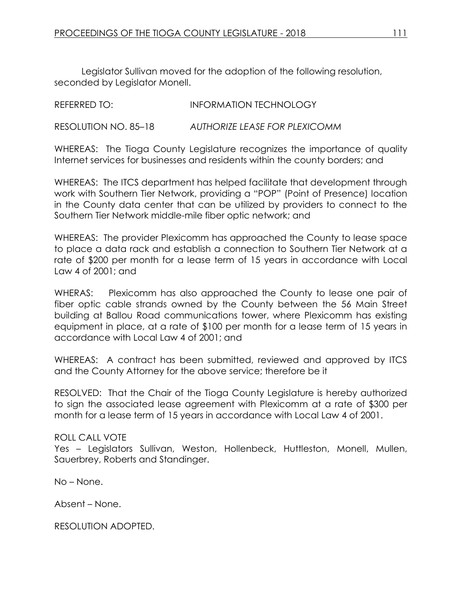Legislator Sullivan moved for the adoption of the following resolution, seconded by Legislator Monell.

| REFERRED TO:         | <b>INFORMATION TECHNOLOGY</b> |
|----------------------|-------------------------------|
| RESOLUTION NO. 85–18 | AUTHORIZE LEASE FOR PLEXICOMM |

WHEREAS: The Tioga County Legislature recognizes the importance of quality Internet services for businesses and residents within the county borders; and

WHEREAS: The ITCS department has helped facilitate that development through work with Southern Tier Network, providing a "POP" (Point of Presence) location in the County data center that can be utilized by providers to connect to the Southern Tier Network middle-mile fiber optic network; and

WHEREAS: The provider Plexicomm has approached the County to lease space to place a data rack and establish a connection to Southern Tier Network at a rate of \$200 per month for a lease term of 15 years in accordance with Local Law 4 of 2001; and

WHERAS: Plexicomm has also approached the County to lease one pair of fiber optic cable strands owned by the County between the 56 Main Street building at Ballou Road communications tower, where Plexicomm has existing equipment in place, at a rate of \$100 per month for a lease term of 15 years in accordance with Local Law 4 of 2001; and

WHEREAS: A contract has been submitted, reviewed and approved by ITCS and the County Attorney for the above service; therefore be it

RESOLVED: That the Chair of the Tioga County Legislature is hereby authorized to sign the associated lease agreement with Plexicomm at a rate of \$300 per month for a lease term of 15 years in accordance with Local Law 4 of 2001.

# ROLL CALL VOTE

Yes – Legislators Sullivan, Weston, Hollenbeck, Huttleston, Monell, Mullen, Sauerbrey, Roberts and Standinger.

No – None.

Absent – None.

RESOLUTION ADOPTED.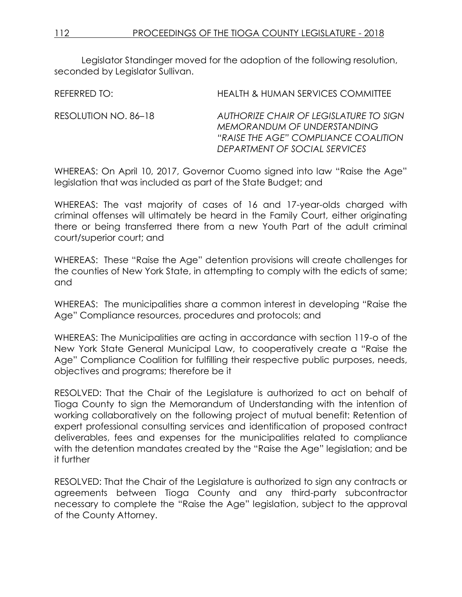Legislator Standinger moved for the adoption of the following resolution, seconded by Legislator Sullivan.

REFERRED TO: HEALTH & HUMAN SERVICES COMMITTEE RESOLUTION NO. 86–18 *AUTHORIZE CHAIR OF LEGISLATURE TO SIGN MEMORANDUM OF UNDERSTANDING "RAISE THE AGE" COMPLIANCE COALITION DEPARTMENT OF SOCIAL SERVICES*

WHEREAS: On April 10, 2017, Governor Cuomo signed into law "Raise the Age" legislation that was included as part of the State Budget; and

WHEREAS: The vast majority of cases of 16 and 17-year-olds charged with criminal offenses will ultimately be heard in the Family Court, either originating there or being transferred there from a new Youth Part of the adult criminal court/superior court; and

WHEREAS: These "Raise the Age" detention provisions will create challenges for the counties of New York State, in attempting to comply with the edicts of same; and

WHEREAS: The municipalities share a common interest in developing "Raise the Age" Compliance resources, procedures and protocols; and

WHEREAS: The Municipalities are acting in accordance with section 119-o of the New York State General Municipal Law, to cooperatively create a "Raise the Age" Compliance Coalition for fulfilling their respective public purposes, needs, objectives and programs; therefore be it

RESOLVED: That the Chair of the Legislature is authorized to act on behalf of Tioga County to sign the Memorandum of Understanding with the intention of working collaboratively on the following project of mutual benefit: Retention of expert professional consulting services and identification of proposed contract deliverables, fees and expenses for the municipalities related to compliance with the detention mandates created by the "Raise the Age" legislation; and be it further

RESOLVED: That the Chair of the Legislature is authorized to sign any contracts or agreements between Tioga County and any third-party subcontractor necessary to complete the "Raise the Age" legislation, subject to the approval of the County Attorney.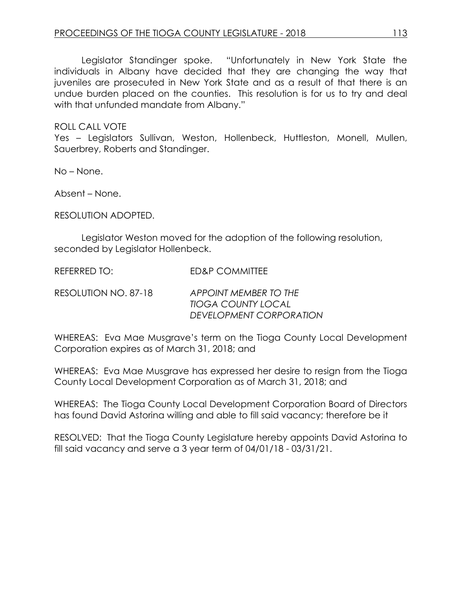Legislator Standinger spoke. "Unfortunately in New York State the individuals in Albany have decided that they are changing the way that juveniles are prosecuted in New York State and as a result of that there is an undue burden placed on the counties. This resolution is for us to try and deal with that unfunded mandate from Albany."

ROLL CALL VOTE

Yes – Legislators Sullivan, Weston, Hollenbeck, Huttleston, Monell, Mullen, Sauerbrey, Roberts and Standinger.

No – None.

Absent – None.

RESOLUTION ADOPTED.

Legislator Weston moved for the adoption of the following resolution, seconded by Legislator Hollenbeck.

REFERRED TO: FD&P COMMITTEE

RESOLUTION NO. 87-18 *APPOINT MEMBER TO THE TIOGA COUNTY LOCAL DEVELOPMENT CORPORATION*

WHEREAS: Eva Mae Musgrave's term on the Tioga County Local Development Corporation expires as of March 31, 2018; and

WHEREAS: Eva Mae Musgrave has expressed her desire to resign from the Tioga County Local Development Corporation as of March 31, 2018; and

WHEREAS: The Tioga County Local Development Corporation Board of Directors has found David Astorina willing and able to fill said vacancy; therefore be it

RESOLVED: That the Tioga County Legislature hereby appoints David Astorina to fill said vacancy and serve a 3 year term of 04/01/18 - 03/31/21.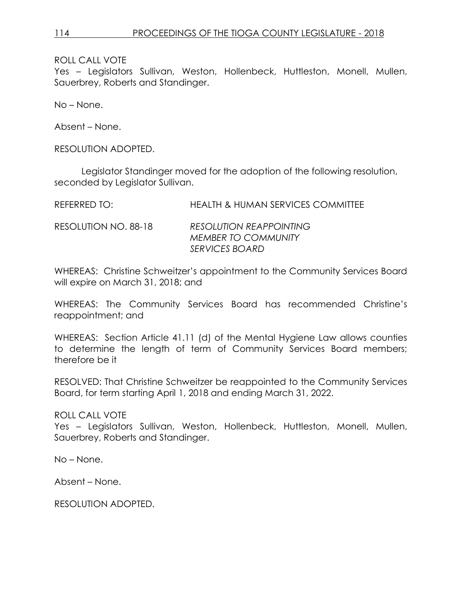Yes – Legislators Sullivan, Weston, Hollenbeck, Huttleston, Monell, Mullen, Sauerbrey, Roberts and Standinger.

No – None.

Absent – None.

RESOLUTION ADOPTED.

Legislator Standinger moved for the adoption of the following resolution, seconded by Legislator Sullivan.

REFERRED TO: HEALTH & HUMAN SERVICES COMMITTEE

RESOLUTION NO. 88-18 *RESOLUTION REAPPOINTING MEMBER TO COMMUNITY SERVICES BOARD*

WHEREAS: Christine Schweitzer's appointment to the Community Services Board will expire on March 31, 2018; and

WHEREAS: The Community Services Board has recommended Christine's reappointment; and

WHEREAS: Section Article 41.11 (d) of the Mental Hygiene Law allows counties to determine the length of term of Community Services Board members; therefore be it

RESOLVED: That Christine Schweitzer be reappointed to the Community Services Board, for term starting April 1, 2018 and ending March 31, 2022.

ROLL CALL VOTE

Yes – Legislators Sullivan, Weston, Hollenbeck, Huttleston, Monell, Mullen, Sauerbrey, Roberts and Standinger.

No – None.

Absent – None.

RESOLUTION ADOPTED.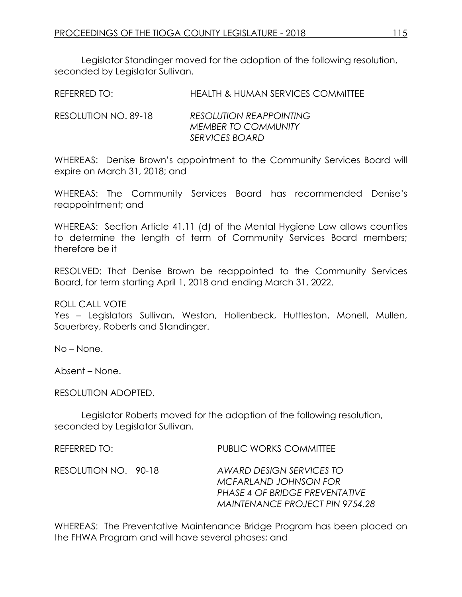Legislator Standinger moved for the adoption of the following resolution, seconded by Legislator Sullivan.

| REFERRED TO: | <b>HEALTH &amp; HUMAN SERVICES COMMITTEE</b> |
|--------------|----------------------------------------------|
|              |                                              |

RESOLUTION NO. 89-18 *RESOLUTION REAPPOINTING MEMBER TO COMMUNITY SERVICES BOARD*

WHEREAS: Denise Brown's appointment to the Community Services Board will expire on March 31, 2018; and

WHEREAS: The Community Services Board has recommended Denise's reappointment; and

WHEREAS: Section Article 41.11 (d) of the Mental Hygiene Law allows counties to determine the length of term of Community Services Board members; therefore be it

RESOLVED: That Denise Brown be reappointed to the Community Services Board, for term starting April 1, 2018 and ending March 31, 2022.

ROLL CALL VOTE

Yes – Legislators Sullivan, Weston, Hollenbeck, Huttleston, Monell, Mullen, Sauerbrey, Roberts and Standinger.

No – None.

Absent – None.

RESOLUTION ADOPTED.

Legislator Roberts moved for the adoption of the following resolution, seconded by Legislator Sullivan.

REFERRED TO: THE REFERRED TO: THE PUBLIC WORKS COMMITTEE

RESOLUTION NO. 90-18 *AWARD DESIGN SERVICES TO MCFARLAND JOHNSON FOR PHASE 4 OF BRIDGE PREVENTATIVE MAINTENANCE PROJECT PIN 9754.28*

WHEREAS: The Preventative Maintenance Bridge Program has been placed on the FHWA Program and will have several phases; and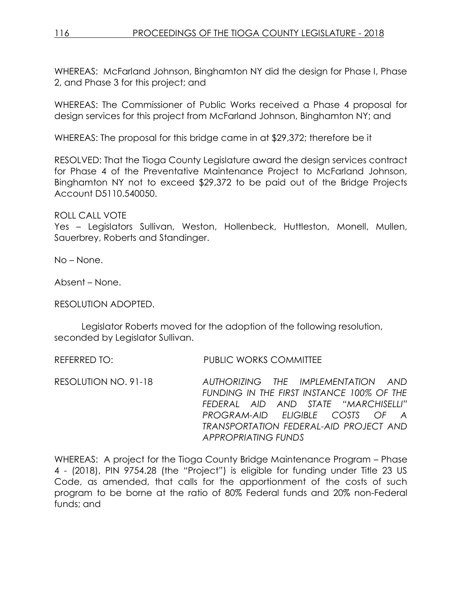WHEREAS: McFarland Johnson, Binghamton NY did the design for Phase I, Phase 2, and Phase 3 for this project; and

WHEREAS: The Commissioner of Public Works received a Phase 4 proposal for design services for this project from McFarland Johnson, Binghamton NY; and

WHEREAS: The proposal for this bridge came in at \$29,372; therefore be it

RESOLVED: That the Tioga County Legislature award the design services contract for Phase 4 of the Preventative Maintenance Project to McFarland Johnson, Binghamton NY not to exceed \$29,372 to be paid out of the Bridge Projects Account D5110.540050.

ROLL CALL VOTE Yes - Legislators Sullivan, Weston, Hollenbeck, Huttleston, Monell, Mullen, Sauerbrey, Roberts and Standinger.

No – None.

Absent – None.

RESOLUTION ADOPTED.

Legislator Roberts moved for the adoption of the following resolution, seconded by Legislator Sullivan.

REFERRED TO: PUBLIC WORKS COMMITTEE

RESOLUTION NO. 91-18 *AUTHORIZING THE IMPLEMENTATION AND FUNDING IN THE FIRST INSTANCE 100% OF THE FEDERAL AID AND STATE "MARCHISELLI" PROGRAM-AID ELIGIBLE COSTS OF A TRANSPORTATION FEDERAL-AID PROJECT AND APPROPRIATING FUNDS*

WHEREAS: A project for the Tioga County Bridge Maintenance Program – Phase 4 - (2018), PIN 9754.28 (the "Project") is eligible for funding under Title 23 US Code, as amended, that calls for the apportionment of the costs of such program to be borne at the ratio of 80% Federal funds and 20% non-Federal funds; and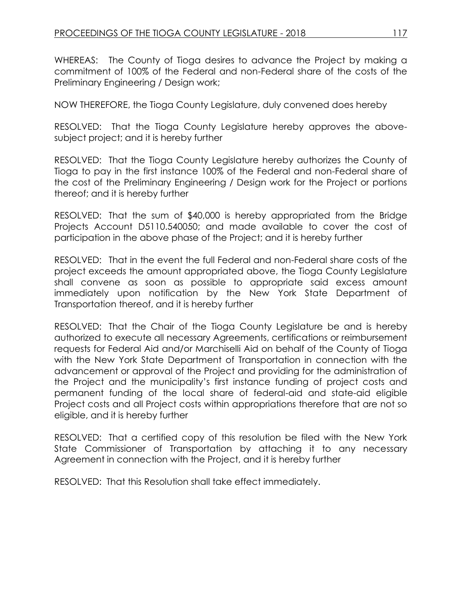WHEREAS: The County of Tioga desires to advance the Project by making a commitment of 100% of the Federal and non-Federal share of the costs of the Preliminary Engineering / Design work;

NOW THEREFORE, the Tioga County Legislature, duly convened does hereby

RESOLVED: That the Tioga County Legislature hereby approves the abovesubject project; and it is hereby further

RESOLVED: That the Tioga County Legislature hereby authorizes the County of Tioga to pay in the first instance 100% of the Federal and non-Federal share of the cost of the Preliminary Engineering / Design work for the Project or portions thereof; and it is hereby further

RESOLVED: That the sum of \$40,000 is hereby appropriated from the Bridge Projects Account D5110.540050; and made available to cover the cost of participation in the above phase of the Project; and it is hereby further

RESOLVED: That in the event the full Federal and non-Federal share costs of the project exceeds the amount appropriated above, the Tioga County Legislature shall convene as soon as possible to appropriate said excess amount immediately upon notification by the New York State Department of Transportation thereof, and it is hereby further

RESOLVED: That the Chair of the Tioga County Legislature be and is hereby authorized to execute all necessary Agreements, certifications or reimbursement requests for Federal Aid and/or Marchiselli Aid on behalf of the County of Tioga with the New York State Department of Transportation in connection with the advancement or approval of the Project and providing for the administration of the Project and the municipality's first instance funding of project costs and permanent funding of the local share of federal-aid and state-aid eligible Project costs and all Project costs within appropriations therefore that are not so eligible, and it is hereby further

RESOLVED: That a certified copy of this resolution be filed with the New York State Commissioner of Transportation by attaching it to any necessary Agreement in connection with the Project, and it is hereby further

RESOLVED: That this Resolution shall take effect immediately.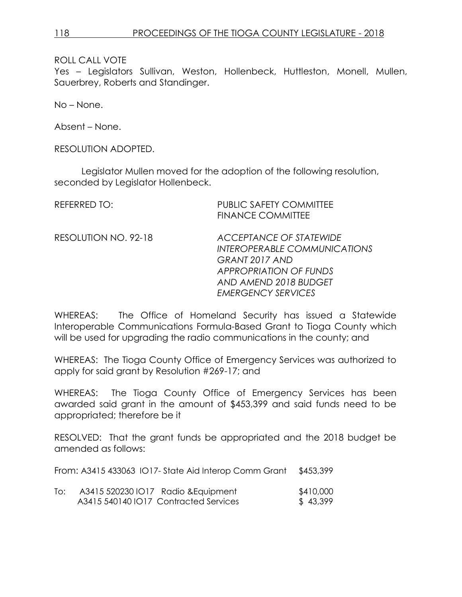Yes – Legislators Sullivan, Weston, Hollenbeck, Huttleston, Monell, Mullen, Sauerbrey, Roberts and Standinger.

No – None.

Absent – None.

RESOLUTION ADOPTED.

Legislator Mullen moved for the adoption of the following resolution, seconded by Legislator Hollenbeck.

| <b>REFERRED TO:</b>  | <b>PUBLIC SAFETY COMMITTEE</b><br><b>FINANCE COMMITTEE</b>                                                                                                              |
|----------------------|-------------------------------------------------------------------------------------------------------------------------------------------------------------------------|
| RESOLUTION NO. 92-18 | ACCEPTANCE OF STATEWIDE<br><b>INTEROPERABLE COMMUNICATIONS</b><br>GRANT 2017 AND<br><b>APPROPRIATION OF FUNDS</b><br>AND AMEND 2018 BUDGET<br><b>EMERGENCY SERVICES</b> |

WHEREAS: The Office of Homeland Security has issued a Statewide Interoperable Communications Formula-Based Grant to Tioga County which will be used for upgrading the radio communications in the county; and

WHEREAS: The Tioga County Office of Emergency Services was authorized to apply for said grant by Resolution #269-17; and

WHEREAS: The Tioga County Office of Emergency Services has been awarded said grant in the amount of \$453,399 and said funds need to be appropriated; therefore be it

RESOLVED: That the grant funds be appropriated and the 2018 budget be amended as follows:

From: A3415 433063 IO17- State Aid Interop Comm Grant \$453,399

| To: | A3415 520230 IO17 Radio & Equipment |                                       | \$410,000 |
|-----|-------------------------------------|---------------------------------------|-----------|
|     |                                     | A3415 540140 IO17 Contracted Services | \$43,399  |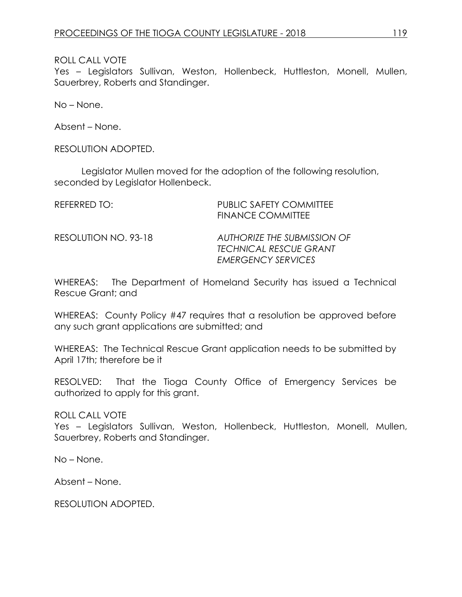Yes – Legislators Sullivan, Weston, Hollenbeck, Huttleston, Monell, Mullen, Sauerbrey, Roberts and Standinger.

No – None.

Absent – None.

RESOLUTION ADOPTED.

Legislator Mullen moved for the adoption of the following resolution, seconded by Legislator Hollenbeck.

| REFERRED TO:         | <b>PUBLIC SAFETY COMMITTEE</b><br><b>FINANCE COMMITTEE</b>                                |
|----------------------|-------------------------------------------------------------------------------------------|
| RESOLUTION NO. 93-18 | AUTHORIZE THE SUBMISSION OF<br><b>TECHNICAL RESCUE GRANT</b><br><b>EMERGENCY SERVICES</b> |

WHEREAS: The Department of Homeland Security has issued a Technical Rescue Grant; and

WHEREAS: County Policy #47 requires that a resolution be approved before any such grant applications are submitted; and

WHEREAS: The Technical Rescue Grant application needs to be submitted by April 17th; therefore be it

RESOLVED: That the Tioga County Office of Emergency Services be authorized to apply for this grant.

ROLL CALL VOTE

Yes – Legislators Sullivan, Weston, Hollenbeck, Huttleston, Monell, Mullen, Sauerbrey, Roberts and Standinger.

No – None.

Absent – None.

RESOLUTION ADOPTED.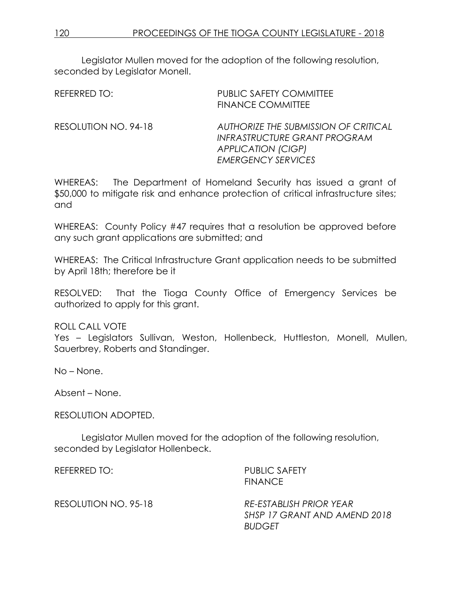Legislator Mullen moved for the adoption of the following resolution, seconded by Legislator Monell.

| REFERRED TO:         | <b>PUBLIC SAFETY COMMITTEE</b><br><b>FINANCE COMMITTEE</b>                                                                     |
|----------------------|--------------------------------------------------------------------------------------------------------------------------------|
| RESOLUTION NO. 94-18 | AUTHORIZE THE SUBMISSION OF CRITICAL<br>INFRASTRUCTURE GRANT PROGRAM<br><b>APPLICATION (CIGP)</b><br><b>EMERGENCY SERVICES</b> |

WHEREAS: The Department of Homeland Security has issued a grant of \$50,000 to mitigate risk and enhance protection of critical infrastructure sites; and

WHEREAS: County Policy #47 requires that a resolution be approved before any such grant applications are submitted; and

WHEREAS: The Critical Infrastructure Grant application needs to be submitted by April 18th; therefore be it

RESOLVED: That the Tioga County Office of Emergency Services be authorized to apply for this grant.

ROLL CALL VOTE

Yes – Legislators Sullivan, Weston, Hollenbeck, Huttleston, Monell, Mullen, Sauerbrey, Roberts and Standinger.

No – None.

Absent – None.

RESOLUTION ADOPTED.

Legislator Mullen moved for the adoption of the following resolution, seconded by Legislator Hollenbeck.

REFERRED TO: PUBLIC SAFETY FINANCE

RESOLUTION NO. 95-18 *RE-ESTABLISH PRIOR YEAR SHSP 17 GRANT AND AMEND 2018 BUDGET*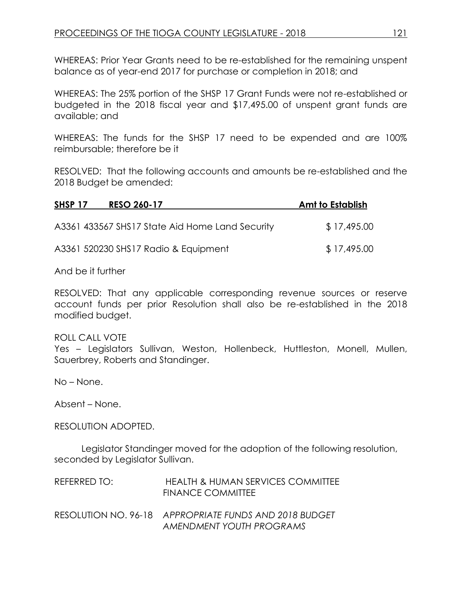WHEREAS: Prior Year Grants need to be re-established for the remaining unspent balance as of year-end 2017 for purchase or completion in 2018; and

WHEREAS: The 25% portion of the SHSP 17 Grant Funds were not re-established or budgeted in the 2018 fiscal year and \$17,495.00 of unspent grant funds are available; and

WHEREAS: The funds for the SHSP 17 need to be expended and are 100% reimbursable; therefore be it

RESOLVED: That the following accounts and amounts be re-established and the 2018 Budget be amended:

| SHSP 17 | <b>RESO 260-17</b>                              | Amt to Establish |
|---------|-------------------------------------------------|------------------|
|         | A3361 433567 SHS17 State Aid Home Land Security | \$17,495.00      |
|         | A3361 520230 SHS17 Radio & Equipment            | \$17,495.00      |

And be it further

RESOLVED: That any applicable corresponding revenue sources or reserve account funds per prior Resolution shall also be re-established in the 2018 modified budget.

ROLL CALL VOTE

Yes – Legislators Sullivan, Weston, Hollenbeck, Huttleston, Monell, Mullen, Sauerbrey, Roberts and Standinger.

No – None.

Absent – None.

RESOLUTION ADOPTED.

Legislator Standinger moved for the adoption of the following resolution, seconded by Legislator Sullivan.

| REFERRED TO: | HEALTH & HUMAN SERVICES COMMITTEE<br><b>FINANCE COMMITTEE</b>                      |
|--------------|------------------------------------------------------------------------------------|
|              | RESOLUTION NO. 96-18 APPROPRIATE FUNDS AND 2018 BUDGET<br>AMENDMENT YOUTH PROGRAMS |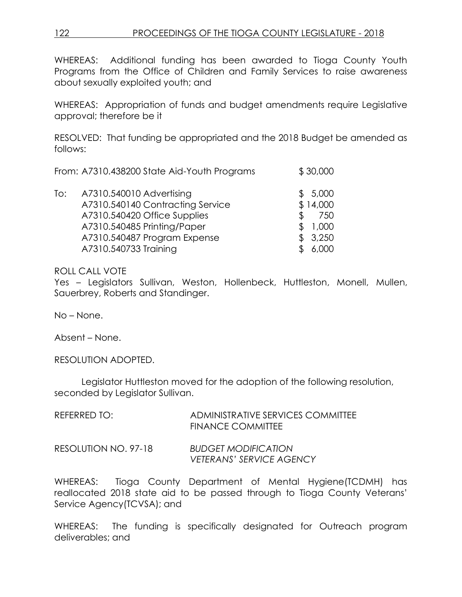WHEREAS: Additional funding has been awarded to Tioga County Youth Programs from the Office of Children and Family Services to raise awareness about sexually exploited youth; and

WHEREAS: Appropriation of funds and budget amendments require Legislative approval; therefore be it

RESOLVED: That funding be appropriated and the 2018 Budget be amended as follows:

| From: A7310.438200 State Aid-Youth Programs | \$30,000 |
|---------------------------------------------|----------|
| A7310.540010 Advertising                    | \$5,000  |
| To:                                         | \$14,000 |
| A7310.540140 Contracting Service            | 750      |
| A7310.540420 Office Supplies                | \$.      |
| A7310.540485 Printing/Paper                 | 1,000    |
| A7310.540487 Program Expense                | 3,250    |

A7310.540733 Training \$ 6,000

# ROLL CALL VOTE

Yes – Legislators Sullivan, Weston, Hollenbeck, Huttleston, Monell, Mullen, Sauerbrey, Roberts and Standinger.

No – None.

Absent – None.

RESOLUTION ADOPTED.

Legislator Huttleston moved for the adoption of the following resolution, seconded by Legislator Sullivan.

| REFERRED TO:         | ADMINISTRATIVE SERVICES COMMITTEE<br>FINANCE COMMITTEE        |
|----------------------|---------------------------------------------------------------|
| RESOLUTION NO. 97-18 | <b>BUDGET MODIFICATION</b><br><b>VETERANS' SERVICE AGENCY</b> |

WHEREAS: Tioga County Department of Mental Hygiene(TCDMH) has reallocated 2018 state aid to be passed through to Tioga County Veterans' Service Agency(TCVSA); and

WHEREAS: The funding is specifically designated for Outreach program deliverables; and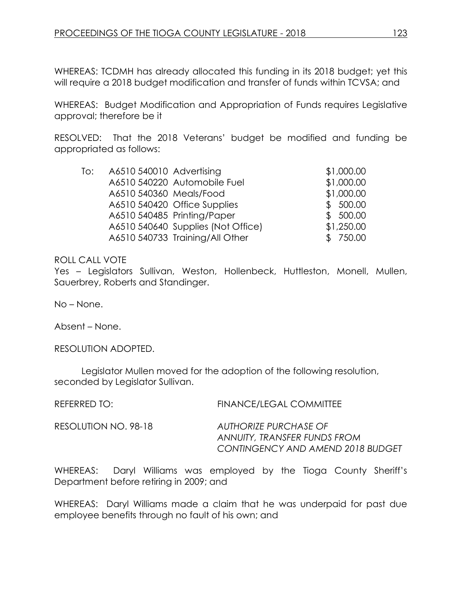WHEREAS: TCDMH has already allocated this funding in its 2018 budget; yet this will require a 2018 budget modification and transfer of funds within TCVSA; and

WHEREAS: Budget Modification and Appropriation of Funds requires Legislative approval; therefore be it

RESOLVED: That the 2018 Veterans' budget be modified and funding be appropriated as follows:

| To: | A6510 540010 Advertising |                                    | \$1,000.00 |
|-----|--------------------------|------------------------------------|------------|
|     |                          | A6510 540220 Automobile Fuel       | \$1,000.00 |
|     | A6510 540360 Meals/Food  |                                    | \$1,000.00 |
|     |                          | A6510 540420 Office Supplies       | \$500.00   |
|     |                          | A6510 540485 Printing/Paper        | \$500.00   |
|     |                          | A6510 540640 Supplies (Not Office) | \$1,250.00 |
|     |                          | A6510 540733 Training/All Other    | \$750.00   |
|     |                          |                                    |            |

### ROLL CALL VOTE

Yes – Legislators Sullivan, Weston, Hollenbeck, Huttleston, Monell, Mullen, Sauerbrey, Roberts and Standinger.

No – None.

Absent – None.

RESOLUTION ADOPTED.

Legislator Mullen moved for the adoption of the following resolution, seconded by Legislator Sullivan.

REFERRED TO: FINANCE/LEGAL COMMITTEE

RESOLUTION NO. 98-18 *AUTHORIZE PURCHASE OF ANNUITY, TRANSFER FUNDS FROM CONTINGENCY AND AMEND 2018 BUDGET*

WHEREAS: Daryl Williams was employed by the Tioga County Sheriff's Department before retiring in 2009; and

WHEREAS: Daryl Williams made a claim that he was underpaid for past due employee benefits through no fault of his own; and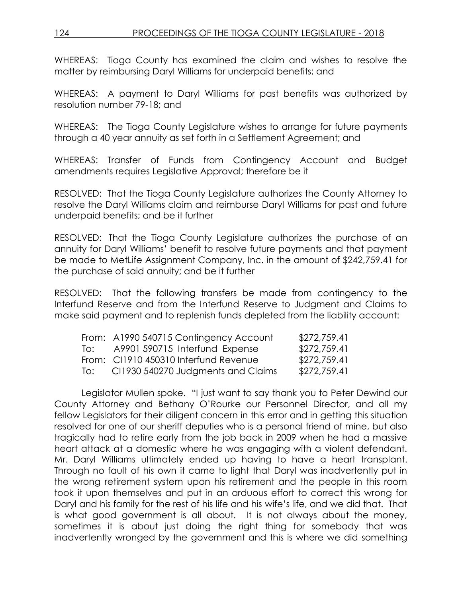# 124 PROCEEDINGS OF THE TIOGA COUNTY LEGISLATURE - 2018

WHEREAS: Tioga County has examined the claim and wishes to resolve the matter by reimbursing Daryl Williams for underpaid benefits; and

WHEREAS: A payment to Daryl Williams for past benefits was authorized by resolution number 79-18; and

WHEREAS: The Tioga County Legislature wishes to arrange for future payments through a 40 year annuity as set forth in a Settlement Agreement; and

WHEREAS: Transfer of Funds from Contingency Account and Budget amendments requires Legislative Approval; therefore be it

RESOLVED: That the Tioga County Legislature authorizes the County Attorney to resolve the Daryl Williams claim and reimburse Daryl Williams for past and future underpaid benefits; and be it further

RESOLVED: That the Tioga County Legislature authorizes the purchase of an annuity for Daryl Williams' benefit to resolve future payments and that payment be made to MetLife Assignment Company, Inc. in the amount of \$242,759.41 for the purchase of said annuity; and be it further

RESOLVED: That the following transfers be made from contingency to the Interfund Reserve and from the Interfund Reserve to Judgment and Claims to make said payment and to replenish funds depleted from the liability account:

|       | From: A1990 540715 Contingency Account | \$272,759.41 |
|-------|----------------------------------------|--------------|
| To: T | A9901 590715 Interfund Expense         | \$272,759.41 |
|       | From: CI1910 450310 Interfund Revenue  | \$272,759.41 |
| TO:   | CI1930 540270 Judgments and Claims     | \$272,759.41 |

Legislator Mullen spoke. "I just want to say thank you to Peter Dewind our County Attorney and Bethany O'Rourke our Personnel Director, and all my fellow Legislators for their diligent concern in this error and in getting this situation resolved for one of our sheriff deputies who is a personal friend of mine, but also tragically had to retire early from the job back in 2009 when he had a massive heart attack at a domestic where he was engaging with a violent defendant. Mr. Daryl Williams ultimately ended up having to have a heart transplant. Through no fault of his own it came to light that Daryl was inadvertently put in the wrong retirement system upon his retirement and the people in this room took it upon themselves and put in an arduous effort to correct this wrong for Daryl and his family for the rest of his life and his wife's life, and we did that. That is what good government is all about. It is not always about the money, sometimes it is about just doing the right thing for somebody that was inadvertently wronged by the government and this is where we did something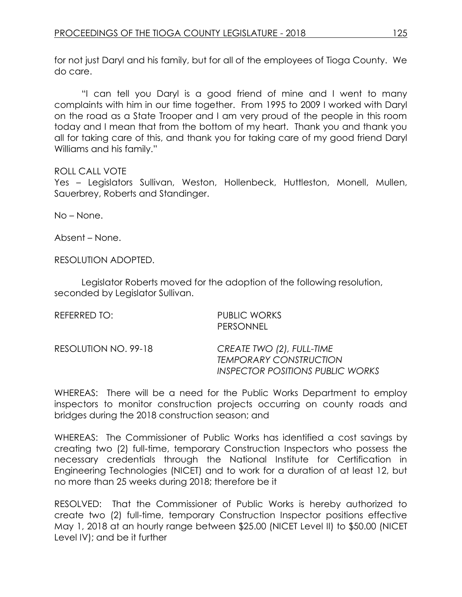for not just Daryl and his family, but for all of the employees of Tioga County. We do care.

"I can tell you Daryl is a good friend of mine and I went to many complaints with him in our time together. From 1995 to 2009 I worked with Daryl on the road as a State Trooper and I am very proud of the people in this room today and I mean that from the bottom of my heart. Thank you and thank you all for taking care of this, and thank you for taking care of my good friend Daryl Williams and his family."

# ROLL CALL VOTE

Yes – Legislators Sullivan, Weston, Hollenbeck, Huttleston, Monell, Mullen, Sauerbrey, Roberts and Standinger.

No – None.

Absent – None.

RESOLUTION ADOPTED.

Legislator Roberts moved for the adoption of the following resolution, seconded by Legislator Sullivan.

| REFERRED TO:         | <b>PUBLIC WORKS</b><br><b>PERSONNEL</b>                                                               |  |
|----------------------|-------------------------------------------------------------------------------------------------------|--|
| RESOLUTION NO. 99-18 | CREATE TWO (2), FULL-TIME<br><b>TEMPORARY CONSTRUCTION</b><br><b>INSPECTOR POSITIONS PUBLIC WORKS</b> |  |

WHEREAS: There will be a need for the Public Works Department to employ inspectors to monitor construction projects occurring on county roads and bridges during the 2018 construction season; and

WHEREAS: The Commissioner of Public Works has identified a cost savings by creating two (2) full-time, temporary Construction Inspectors who possess the necessary credentials through the National Institute for Certification in Engineering Technologies (NICET) and to work for a duration of at least 12, but no more than 25 weeks during 2018; therefore be it

RESOLVED: That the Commissioner of Public Works is hereby authorized to create two (2) full-time, temporary Construction Inspector positions effective May 1, 2018 at an hourly range between \$25.00 (NICET Level II) to \$50.00 (NICET Level IV); and be it further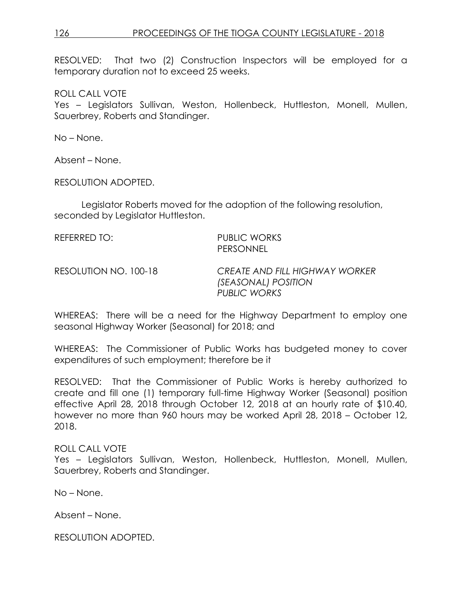# 126 PROCEEDINGS OF THE TIOGA COUNTY LEGISLATURE - 2018

RESOLVED: That two (2) Construction Inspectors will be employed for a temporary duration not to exceed 25 weeks.

ROLL CALL VOTE

Yes - Legislators Sullivan, Weston, Hollenbeck, Huttleston, Monell, Mullen, Sauerbrey, Roberts and Standinger.

No – None.

Absent – None.

RESOLUTION ADOPTED.

Legislator Roberts moved for the adoption of the following resolution, seconded by Legislator Huttleston.

REFERRED TO: PUBLIC WORKS PERSONNEL

RESOLUTION NO. 100-18 *CREATE AND FILL HIGHWAY WORKER (SEASONAL) POSITION PUBLIC WORKS*

WHEREAS: There will be a need for the Highway Department to employ one seasonal Highway Worker (Seasonal) for 2018; and

WHEREAS: The Commissioner of Public Works has budgeted money to cover expenditures of such employment; therefore be it

RESOLVED: That the Commissioner of Public Works is hereby authorized to create and fill one (1) temporary full-time Highway Worker (Seasonal) position effective April 28, 2018 through October 12, 2018 at an hourly rate of \$10.40, however no more than 960 hours may be worked April 28, 2018 – October 12, 2018.

### ROLL CALL VOTE

Yes – Legislators Sullivan, Weston, Hollenbeck, Huttleston, Monell, Mullen, Sauerbrey, Roberts and Standinger.

No – None.

Absent – None.

RESOLUTION ADOPTED.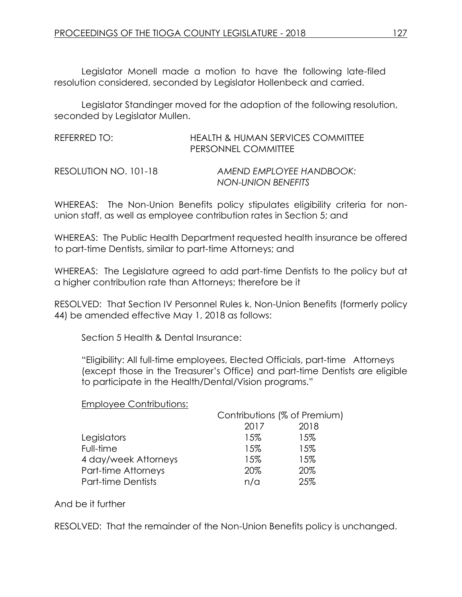Legislator Monell made a motion to have the following late-filed resolution considered, seconded by Legislator Hollenbeck and carried.

Legislator Standinger moved for the adoption of the following resolution, seconded by Legislator Mullen.

| REFERRED TO:          | HEALTH & HUMAN SERVICES COMMITTEE<br>PERSONNEL COMMITTEE |
|-----------------------|----------------------------------------------------------|
| RESOLUTION NO. 101-18 | AMEND EMPLOYEE HANDBOOK:<br>NON-UNION BENEFITS           |

WHEREAS: The Non-Union Benefits policy stipulates eligibility criteria for nonunion staff, as well as employee contribution rates in Section 5; and

WHEREAS: The Public Health Department requested health insurance be offered to part-time Dentists, similar to part-time Attorneys; and

WHEREAS: The Legislature agreed to add part-time Dentists to the policy but at a higher contribution rate than Attorneys; therefore be it

RESOLVED: That Section IV Personnel Rules k. Non-Union Benefits (formerly policy 44) be amended effective May 1, 2018 as follows:

Section 5 Health & Dental Insurance:

"Eligibility: All full-time employees, Elected Officials, part-time Attorneys (except those in the Treasurer's Office) and part-time Dentists are eligible to participate in the Health/Dental/Vision programs."

### Employee Contributions:

|                      | Contributions (% of Premium) |      |
|----------------------|------------------------------|------|
|                      | 2017                         | 2018 |
| Legislators          | 15%                          | 15%  |
| Full-time            | 15%                          | 15%  |
| 4 day/week Attorneys | 15%                          | 15%  |
| Part-time Attorneys  | 20%                          | 20%  |
| Part-time Dentists   | n/a                          | 25%  |

### And be it further

RESOLVED: That the remainder of the Non-Union Benefits policy is unchanged.